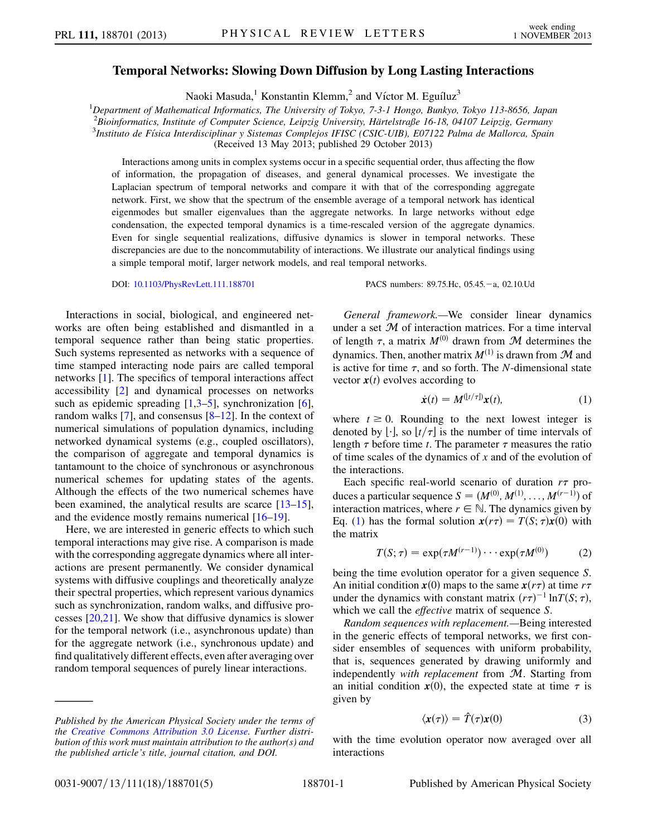## Temporal Networks: Slowing Down Diffusion by  $\sum_{i=1}^{n}$  and  $\sum_{i=1}^{n}$

Naoki Masuda,<sup>1</sup> Konstantin Klemm,<sup>2</sup> and Víctor M. Eguíluz<sup>3</sup>

<sup>1</sup>Department of Mathematical Informatics, The University of Tokyo, 7-3-1 Hongo, Bunkyo, Tokyo 113-8656, Japan <sup>2</sup>Bioinformatics, Institute of Computer Science, Leipzig University, Härtelstraße 16-18, 04107 Leipzig, Germany<br><sup>3</sup>Institute de Eísica Interdisciplinar y Sistemas Complejos IEISC (CSIC UIB), E07122 Palma de Mallorca, Spa <sup>3</sup>Instituto de Física Interdisciplinar y Sistemas Complejos IFISC (CSIC-UIB), E07122 Palma de Mallorca, Spain (Received 13 May 2013; published 29 October 2013)

Interactions among units in complex systems occur in a specific sequential order, thus affecting the flow of information, the propagation of diseases, and general dynamical processes. We investigate the Laplacian spectrum of temporal networks and compare it with that of the corresponding aggregate network. First, we show that the spectrum of the ensemble average of a temporal network has identical eigenmodes but smaller eigenvalues than the aggregate networks. In large networks without edge condensation, the expected temporal dynamics is a time-rescaled version of the aggregate dynamics. Even for single sequential realizations, diffusive dynamics is slower in temporal networks. These discrepancies are due to the noncommutability of interactions. We illustrate our analytical findings using a simple temporal motif, larger network models, and real temporal networks.

Interactions in social, biological, and engineered networks are often being established and dismantled in a temporal sequence rather than being static properties. Such systems represented as networks with a sequence of time stamped interacting node pairs are called temporal networks [[1\]](#page-4-0). The specifics of temporal interactions affect accessibility [[2](#page-4-1)] and dynamical processes on networks such as epidemic spreading  $[1,3-5]$  $[1,3-5]$  $[1,3-5]$  $[1,3-5]$  $[1,3-5]$ , synchronization  $[6]$  $[6]$ , random walks  $[7]$ , and consensus  $[8-12]$  $[8-12]$  $[8-12]$ . In the context of numerical simulations of population dynamics, including networked dynamical systems (e.g., coupled oscillators), the comparison of aggregate and temporal dynamics is tantamount to the choice of synchronous or asynchronous numerical schemes for updating states of the agents. Although the effects of the two numerical schemes have been examined, the analytical results are scarce  $[13-15]$  $[13-15]$  $[13-15]$ , and the evidence mostly remains numerical [\[16](#page-4-10)[–19\]](#page-4-11).

Here, we are interested in generic effects to which such temporal interactions may give rise. A comparison is made with the corresponding aggregate dynamics where all interactions are present permanently. We consider dynamical systems with diffusive couplings and theoretically analyze their spectral properties, which represent various dynamics such as synchronization, random walks, and diffusive processes [\[20,](#page-4-12)[21\]](#page-4-13). We show that diffusive dynamics is slower for the temporal network (i.e., asynchronous update) than for the aggregate network (i.e., synchronous update) and find qualitatively different effects, even after averaging over random temporal sequences of purely linear interactions.

DOI: [10.1103/PhysRevLett.111.188701](http://dx.doi.org/10.1103/PhysRevLett.111.188701) PACS numbers: 89.75.Hc, 05.45. - a, 02.10.Ud

General framework.—We consider linear dynamics under a set  $M$  of interaction matrices. For a time interval of length  $\tau$ , a matrix  $M^{(0)}$  drawn from M determines the dynamics. Then, another matrix  $M^{(1)}$  is drawn from M and is active for time  $\tau$ , and so forth. The N-dimensional state vector  $x(t)$  evolves according to

$$
\dot{\boldsymbol{x}}(t) = M^{(\lfloor t/\tau \rfloor)} \boldsymbol{x}(t), \tag{1}
$$

<span id="page-0-0"></span>where  $t \ge 0$ . Rounding to the next lowest integer is denoted by  $|\cdot|$  so  $|t/\tau|$  is the number of time intervals of denoted by  $\vert \cdot \vert$ , so  $\vert t/\tau \vert$  is the number of time intervals of length  $\tau$  before time t. The parameter  $\tau$  measures the ratio of time scales of the dynamics of  $x$  and of the evolution of the interactions.

Each specific real-world scenario of duration  $r\tau$  produces a particular sequence  $S = (M^{(0)}, M^{(1)}, \dots, M^{(r-1)})$  of interaction matrices, where  $r \in \mathbb{N}$ . The dynamics given by interaction matrices, where  $r \in \mathbb{N}$ . The dynamics given by Eq. ([1\)](#page-0-0) has the formal solution  $x(r\tau) = T(S; \tau)x(0)$  with the matrix

$$
T(S; \tau) = \exp(\tau M^{(r-1)}) \cdots \exp(\tau M^{(0)}) \tag{2}
$$

<span id="page-0-1"></span>being the time evolution operator for a given sequence S. An initial condition  $x(0)$  maps to the same  $x(r\tau)$  at time  $r\tau$ under the dynamics with constant matrix  $(r\tau)^{-1} \ln T(S; \tau)$ ,<br>which we call the *effective* matrix of sequence S which we call the *effective* matrix of sequence S.

Random sequences with replacement.—Being interested in the generic effects of temporal networks, we first consider ensembles of sequences with uniform probability, that is, sequences generated by drawing uniformly and independently with replacement from M. Starting from an initial condition  $x(0)$ , the expected state at time  $\tau$  is given by

$$
\langle \mathbf{x}(\tau) \rangle = \hat{T}(\tau) \mathbf{x}(0) \tag{3}
$$

with the time evolution operator now averaged over all interactions

Published by the American Physical Society under the terms of the [Creative Commons Attribution 3.0 License.](http://creativecommons.org/licenses/by/3.0/) Further distribution of this work must maintain attribution to the author(s) and the published article's title, journal citation, and DOI.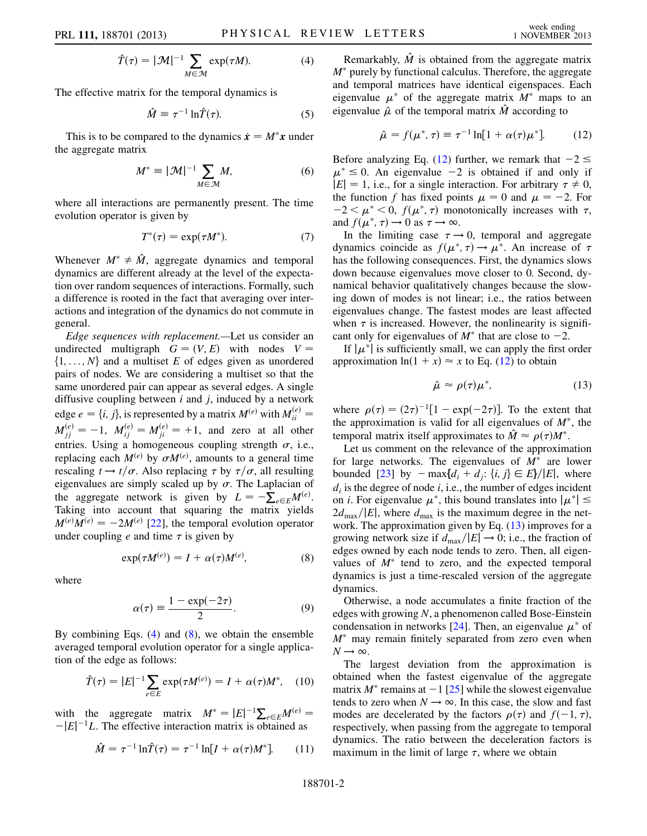$$
\hat{T}(\tau) = |\mathcal{M}|^{-1} \sum_{M \in \mathcal{M}} \exp(\tau M). \tag{4}
$$

<span id="page-1-0"></span>The effective matrix for the temporal dynamics is

$$
\hat{M} \equiv \tau^{-1} \ln \hat{T}(\tau). \tag{5}
$$

This is to be compared to the dynamics  $\dot{x} = M^* x$  under the aggregate matrix

$$
M^* = |\mathcal{M}|^{-1} \sum_{M \in \mathcal{M}} M,\tag{6}
$$

<span id="page-1-5"></span>where all interactions are permanently present. The time evolution operator is given by

$$
T^*(\tau) = \exp(\tau M^*). \tag{7}
$$

Whenever  $M^* \neq \hat{M}$ , aggregate dynamics and temporal dynamics are different already at the level of the expectation over random sequences of interactions. Formally, such a difference is rooted in the fact that averaging over interactions and integration of the dynamics do not commute in general.

Edge sequences with replacement.—Let us consider an undirected multigraph  $G = (V, E)$  with nodes  $V =$  $\{1, \ldots, N\}$  and a multiset E of edges given as unordered pairs of nodes. We are considering a multiset so that the same unordered pair can appear as several edges. A single diffusive coupling between  $i$  and  $j$ , induced by a network edge  $e = \{i, j\}$ , is represented by a matrix  $M^{(e)}$  with  $M_{ii}^{(e)} =$ edge  $e = \{i, j\}$ , is represented by a matrix  $M^{(e)}$  with  $M_{ii}^{(e)} = M_{jj}^{(e)} = -1$ ,  $M_{ij}^{(e)} = M_{jj}^{(e)} = +1$ , and zero at all other entries. Using a homogeneous coupling strength  $\sigma$ , i.e., replacing each  $M^{(e)}$  by  $\sigma M^{(e)}$ , amounts to a general time rescaling  $t \to t/\sigma$ . Also replacing  $\tau$  by  $\tau/\sigma$ , all resulting eigenvalues are simply scaled up by  $\sigma$ . The Laplacian of eigenvalues are simply scaled up by  $\sigma$ . The Laplacian of the aggregate network is given by  $L = -\sum_{e \in E} M^{(e)}$ .<br>Taking into account that squaring the matrix vields Taking into account that squaring the matrix yields  $M^{(e)}M^{(e)} = -2M^{(e)}$  [[22](#page-4-14)], the temporal evolution operator<br>under counting e and time  $\tau$  is given by under coupling e and time  $\tau$  is given by

$$
\exp(\tau M^{(e)}) = I + \alpha(\tau) M^{(e)}, \tag{8}
$$

<span id="page-1-4"></span><span id="page-1-1"></span>where

$$
\alpha(\tau) \equiv \frac{1 - \exp(-2\tau)}{2}.
$$
 (9)

By combining Eqs. [\(4](#page-1-0)) and [\(8\)](#page-1-1), we obtain the ensemble averaged temporal evolution operator for a single application of the edge as follows:

$$
\hat{T}(\tau) = |E|^{-1} \sum_{e \in E} \exp(\tau M^{(e)}) = I + \alpha(\tau) M^*, \quad (10)
$$

with the aggregate matrix  $M^* = |E|^{-1} \sum_{e \in E} M^{(e)} = -|E|^{-1} I$  The effective interaction matrix is obtained as  $-|E|^{-1}L$ . The effective interaction matrix is obtained as

$$
\hat{M} = \tau^{-1} \ln \hat{T}(\tau) = \tau^{-1} \ln[I + \alpha(\tau)M^*]. \tag{11}
$$

Remarkably,  $\hat{M}$  is obtained from the aggregate matrix  $M^*$  purely by functional calculus. Therefore, the aggregate and temporal matrices have identical eigenspaces. Each eigenvalue  $\mu^*$  of the aggregate matrix  $M^*$  maps to an eigenvalue  $\hat{\mu}$  of the temporal matrix  $\hat{M}$  according to

$$
\hat{\mu} = f(\mu^*, \tau) \equiv \tau^{-1} \ln[1 + \alpha(\tau)\mu^*]. \tag{12}
$$

<span id="page-1-2"></span>Before analyzing Eq. [\(12\)](#page-1-2) further, we remark that  $-2 \le$  $\mu^* \leq 0$ . An eigenvalue -2 is obtained if and only if  $|E| = 1$ , i.e., for a single interaction. For arbitrary  $\tau \neq 0$ , the function f has fixed points  $\mu = 0$  and  $\mu = -2$ . For  $-2 < \mu^* < 0$ ,  $f(\mu^*, \tau)$  monotonically increases with  $\tau$ , and  $f(\mu^*, \tau) \rightarrow 0$  as  $\tau \rightarrow \infty$ .

In the limiting case  $\tau \rightarrow 0$ , temporal and aggregate dynamics coincide as  $f(\mu^*, \tau) \rightarrow \mu^*$ . An increase of  $\tau$ has the following consequences. First, the dynamics slows down because eigenvalues move closer to 0. Second, dynamical behavior qualitatively changes because the slowing down of modes is not linear; i.e., the ratios between eigenvalues change. The fastest modes are least affected when  $\tau$  is increased. However, the nonlinearity is significant only for eigenvalues of  $M^*$  that are close to  $-2$ .

<span id="page-1-3"></span>If  $|\mu^*|$  is sufficiently small, we can apply the first order approximation  $ln(1 + x) \approx x$  to Eq. ([12](#page-1-2)) to obtain

$$
\hat{\mu} \approx \rho(\tau)\mu^*,\tag{13}
$$

where  $\rho(\tau) = (2\tau)^{-1} [1 - \exp(-2\tau)]$ . To the extent that the approximation is valid for all eigenvalues of  $M^*$  the the approximation is valid for all eigenvalues of  $M^*$ , the temporal matrix itself approximates to  $\hat{M} \approx \rho(\tau)M^*$ .

Let us comment on the relevance of the approximation for large networks. The eigenvalues of  $M^*$  are lower bounded [[23](#page-4-15)] by  $-\max\{d_i + d_j : \{i, j\} \in E\}/|E|$ , where  $d_i$  is the degree of node i, i.e., the number of edges incident on *i*. For eigenvalue  $\mu^*$ , this bound translates into  $|\mu^*| \leq$  $2d_{\text{max}}/|E|$ , where  $d_{\text{max}}$  is the maximum degree in the network. The approximation given by Eq.  $(13)$  $(13)$  $(13)$  improves for a growing network size if  $d_{\text{max}}/|E| \rightarrow 0$ ; i.e., the fraction of edges owned by each node tends to zero. Then, all eigenvalues of  $M^*$  tend to zero, and the expected temporal dynamics is just a time-rescaled version of the aggregate dynamics.

Otherwise, a node accumulates a finite fraction of the edges with growing N, a phenomenon called Bose-Einstein condensation in networks [[24](#page-4-16)]. Then, an eigenvalue  $\mu^*$  of  $M^*$  may remain finitely separated from zero even when  $N \rightarrow \infty$ .

The largest deviation from the approximation is obtained when the fastest eigenvalue of the aggregate matrix  $M^*$  remains at  $-1$  [\[25\]](#page-4-17) while the slowest eigenvalue tends to zero when  $N \rightarrow \infty$ . In this case, the slow and fast modes are decelerated by the factors  $\rho(\tau)$  and  $f(-1, \tau)$ , respectively, when passing from the aggregate to temporal dynamics. The ratio between the deceleration factors is maximum in the limit of large  $\tau$ , where we obtain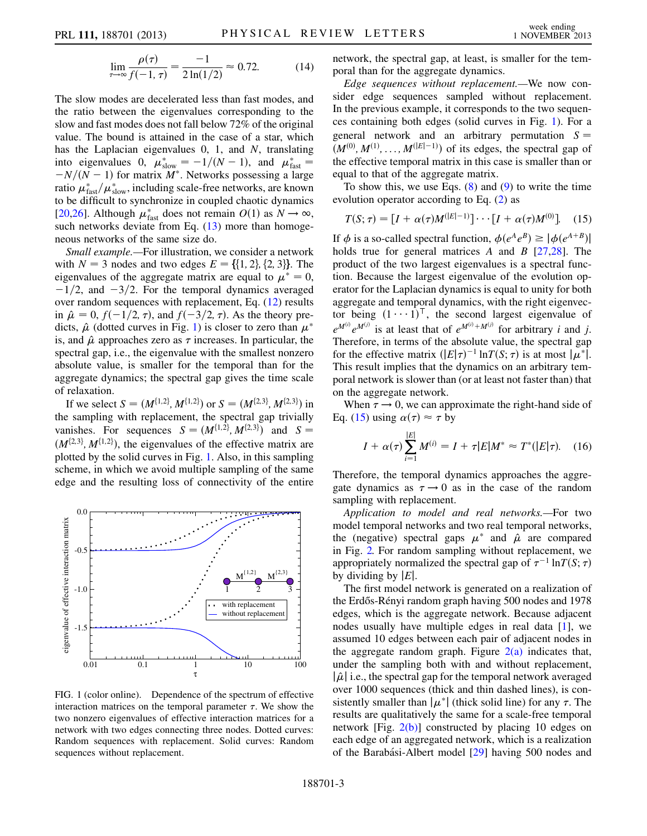$$
\lim_{\tau \to \infty} \frac{\rho(\tau)}{f(-1, \tau)} = \frac{-1}{2\ln(1/2)} \approx 0.72. \tag{14}
$$

The slow modes are decelerated less than fast modes, and the ratio between the eigenvalues corresponding to the slow and fast modes does not fall below 72% of the original value. The bound is attained in the case of a star, which has the Laplacian eigenvalues 0, 1, and N, translating into eigenvalues 0,  $\mu_{slow}^* = -1/(N-1)$ , and  $\mu_{fix}^* = -N/(N-1)$  for matrix  $M^*$ . Networks possessing a  $f_{\text{H}}(N-1)$  for matrix  $M^*$ . Networks possessing a large<br>  $f_{\text{H}}(N-1)$  for matrix  $M^*$ . Networks possessing a large<br>
ratio  $\mu^*$ ,  $\mu^*$ , including scale-free networks, are known ratio  $\mu^*_{\text{fast}}/\mu^*_{\text{slow}}$ , including scale-free networks, are known to be difficult to synchronize in coupled chaotic dynamics [\[20](#page-4-12)[,26\]](#page-4-18). Although  $\mu_{\text{fast}}^*$  does not remain  $O(1)$  as  $N \to \infty$ , such networks deviate from Eq. (13) more than homogesuch networks deviate from Eq.  $(13)$  $(13)$  more than homogeneous networks of the same size do.

Small example.—For illustration, we consider a network with  $N = 3$  nodes and two edges  $E = \{ \{1, 2\}, \{2, 3\} \}$ . The eigenvalues of the aggregate matrix are equal to  $\mu^* = 0$ ,  $-1/2$ , and  $-3/2$ . For the temporal dynamics averaged over random sequences with replacement, Eq. ([12](#page-1-2)) results in  $\hat{\mu} = 0$ ,  $f(-1/2, \tau)$ , and  $f(-3/2, \tau)$ . As the theory predicts,  $\hat{\mu}$  (dotted curves in Fig. [1](#page-2-0)) is closer to zero than  $\mu^*$ is, and  $\hat{\mu}$  approaches zero as  $\tau$  increases. In particular, the spectral gap, i.e., the eigenvalue with the smallest nonzero absolute value, is smaller for the temporal than for the aggregate dynamics; the spectral gap gives the time scale of relaxation.

If we select  $S = (M^{\{1,2\}}, M^{\{1,2\}})$  or  $S = (M^{\{2,3\}}, M^{\{2,3\}})$  in<br>regarding with replacement the spectral gan trivially the sampling with replacement, the spectral gap trivially vanishes. For sequences  $S = (M^{\{1,2\}}, M^{\{2,3\}})$  and  $S = (M^{\{1,2\}}, M^{\{2,3\}})$  and  $S = (M^{\{1,2\}}, M^{\{1,2\}})$  the eigenvalues of the effective matrix are  $(M^{\{2,3\}}, M^{\{1,2\}})$ , the eigenvalues of the effective matrix are<br>plotted by the solid curves in Fig. 1. Also, in this sampling plotted by the solid curves in Fig. [1](#page-2-0). Also, in this sampling scheme, in which we avoid multiple sampling of the same edge and the resulting loss of connectivity of the entire

<span id="page-2-0"></span>

FIG. 1 (color online). Dependence of the spectrum of effective interaction matrices on the temporal parameter  $\tau$ . We show the two nonzero eigenvalues of effective interaction matrices for a network with two edges connecting three nodes. Dotted curves: Random sequences with replacement. Solid curves: Random sequences without replacement.

network, the spectral gap, at least, is smaller for the temporal than for the aggregate dynamics.

Edge sequences without replacement.—We now consider edge sequences sampled without replacement. In the previous example, it corresponds to the two sequences containing both edges (solid curves in Fig. [1](#page-2-0)). For a general network and an arbitrary permutation  $S =$  $(M^{(0)}, M^{(1)}, \ldots, M^{(|E|-1)})$  of its edges, the spectral gap of the effective temporal matrix in this case is smaller than or the effective temporal matrix in this case is smaller than or equal to that of the aggregate matrix.

To show this, we use Eqs.  $(8)$  and  $(9)$  $(9)$  to write the time evolution operator according to Eq. ([2\)](#page-0-1) as

<span id="page-2-1"></span>
$$
T(S; \tau) = [I + \alpha(\tau)M^{(|E|-1)}] \cdots [I + \alpha(\tau)M^{(0)}]. \quad (15)
$$

If  $\phi$  is a so-called spectral function,  $\phi(e^A e^B) \ge |\phi(e^{A+B})|$ <br>holds true for general matrices A and B [27.28]. The holds true for general matrices A and B  $[27,28]$  $[27,28]$  $[27,28]$  $[27,28]$  $[27,28]$ . The product of the two largest eigenvalues is a spectral function. Because the largest eigenvalue of the evolution operator for the Laplacian dynamics is equal to unity for both aggregate and temporal dynamics, with the right eigenvector being  $(1 \cdots 1)^{\top}$ , the second largest eigenvalue of  $\alpha^{M^{(i)} \cdots M^{(j)}}$  for explicitly in and i  $e^{M^{(i)}} e^{M^{(j)}}$  is at least that of  $e^{M^{(i)} + M^{(j)}}$  for arbitrary *i* and *j*. Therefore, in terms of the absolute value, the spectral gap for the effective matrix  $(|E|\tau)^{-1} \ln T(S; \tau)$  is at most  $|\mu^*|$ .<br>This result implies that the dynamics on an arbitrary tem-This result implies that the dynamics on an arbitrary temporal network is slower than (or at least not faster than) that on the aggregate network.

When  $\tau \rightarrow 0$ , we can approximate the right-hand side of Eq. ([15](#page-2-1)) using  $\alpha(\tau) \approx \tau$  by

$$
I + \alpha(\tau) \sum_{i=1}^{|E|} M^{(i)} = I + \tau |E|M^* \approx T^*(|E|\tau). \quad (16)
$$

Therefore, the temporal dynamics approaches the aggregate dynamics as  $\tau \rightarrow 0$  as in the case of the random sampling with replacement.

Application to model and real networks.—For two model temporal networks and two real temporal networks, the (negative) spectral gaps  $\mu^*$  and  $\hat{\mu}$  are compared in Fig. [2.](#page-3-0) For random sampling without replacement, we appropriately normalized the spectral gap of  $\tau^{-1} \ln T(S; \tau)$ by dividing by  $|E|$ .

The first model network is generated on a realization of the Erdős-Rényi random graph having 500 nodes and 1978 edges, which is the aggregate network. Because adjacent nodes usually have multiple edges in real data [[1\]](#page-4-0), we assumed 10 edges between each pair of adjacent nodes in the aggregate random graph. Figure  $2(a)$  indicates that, under the sampling both with and without replacement,  $|\hat{\mu}|$  i.e., the spectral gap for the temporal network averaged over 1000 sequences (thick and thin dashed lines), is consistently smaller than  $|\mu^*|$  (thick solid line) for any  $\tau$ . The results are qualitatively the same for a scale-free temporal network  $[Fig. 2(b)]$  $[Fig. 2(b)]$  constructed by placing 10 edges on each edge of an aggregated network, which is a realization of the Barabási-Albert model [[29](#page-4-21)] having 500 nodes and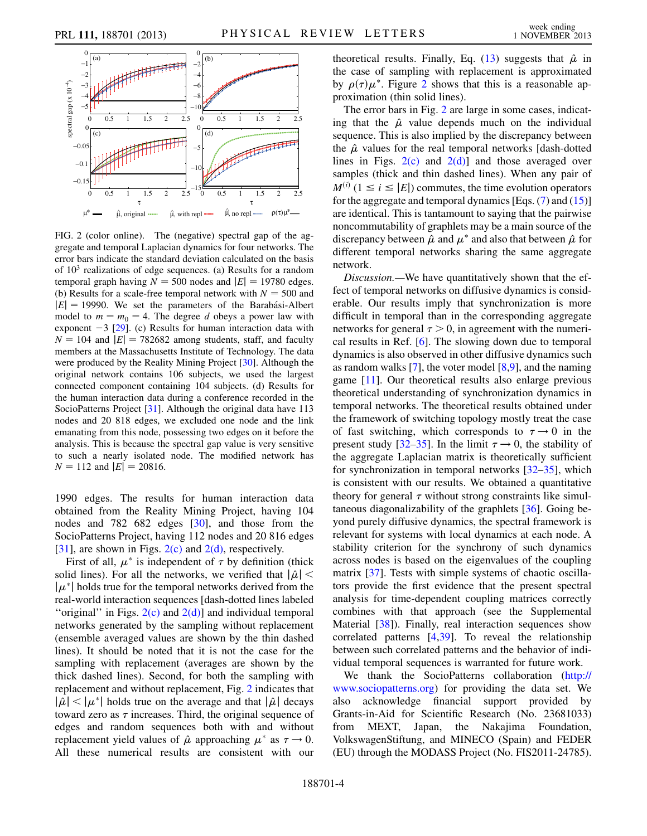<span id="page-3-0"></span>

<span id="page-3-1"></span>FIG. 2 (color online). The (negative) spectral gap of the aggregate and temporal Laplacian dynamics for four networks. The error bars indicate the standard deviation calculated on the basis of 10<sup>3</sup> realizations of edge sequences. (a) Results for a random temporal graph having  $N = 500$  nodes and  $|E| = 19780$  edges. (b) Results for a scale-free temporal network with  $N = 500$  and  $|E| = 19990$ . We set the parameters of the Barabási-Albert model to  $m = m_0 = 4$ . The degree d obeys a power law with exponent  $-3$  [\[29\]](#page-4-21). (c) Results for human interaction data with  $N = 104$  and  $|E| = 782682$  among students, staff, and faculty members at the Massachusetts Institute of Technology. The data were produced by the Reality Mining Project [[30](#page-4-22)]. Although the original network contains 106 subjects, we used the largest connected component containing 104 subjects. (d) Results for the human interaction data during a conference recorded in the SocioPatterns Project [[31](#page-4-23)]. Although the original data have 113 nodes and 20 818 edges, we excluded one node and the link emanating from this node, possessing two edges on it before the analysis. This is because the spectral gap value is very sensitive to such a nearly isolated node. The modified network has  $N = 112$  and  $|E| = 20816$ .

1990 edges. The results for human interaction data obtained from the Reality Mining Project, having 104 nodes and 782 682 edges [\[30\]](#page-4-22), and those from the SocioPatterns Project, having 112 nodes and 20 816 edges [\[31\]](#page-4-23), are shown in Figs.  $2(c)$  and  $2(d)$ , respectively.

First of all,  $\mu^*$  is independent of  $\tau$  by definition (thick solid lines). For all the networks, we verified that  $|\hat{\mu}|$  <  $|\mu^*|$  holds true for the temporal networks derived from the real-world interaction sequences [dash-dotted lines labeled "original" in Figs.  $2(c)$  and  $2(d)$ ] and individual temporal networks generated by the sampling without replacement (ensemble averaged values are shown by the thin dashed lines). It should be noted that it is not the case for the sampling with replacement (averages are shown by the thick dashed lines). Second, for both the sampling with replacement and without replacement, Fig. [2](#page-3-0) indicates that  $|\hat{\mu}| < |\mu^*|$  holds true on the average and that  $|\hat{\mu}|$  decays toward zero as  $\tau$  increases. Third, the original sequence of edges and random sequences both with and without replacement yield values of  $\hat{\mu}$  approaching  $\mu^*$  as  $\tau \to 0$ . All these numerical results are consistent with our theoretical results. Finally, Eq. ([13](#page-1-3)) suggests that  $\hat{\mu}$  in the case of sampling with replacement is approximated by  $\rho(\tau)\mu^*$ . Figure [2](#page-3-0) shows that this is a reasonable approximation (thin solid lines).

The error bars in Fig. [2](#page-3-0) are large in some cases, indicating that the  $\hat{\mu}$  value depends much on the individual sequence. This is also implied by the discrepancy between the  $\hat{\mu}$  values for the real temporal networks [dash-dotted] lines in Figs.  $2(c)$  and  $2(d)$ ] and those averaged over samples (thick and thin dashed lines). When any pair of  $M^{(i)}$  (1  $\leq i \leq |E|$ ) commutes, the time evolution operators for the aggregate and temporal dynamics [Eqs.  $(7)$  $(7)$  and  $(15)$  $(15)$  $(15)$ ] are identical. This is tantamount to saying that the pairwise noncommutability of graphlets may be a main source of the discrepancy between  $\hat{\mu}$  and  $\mu^*$  and also that between  $\hat{\mu}$  for different temporal networks sharing the same aggregate network.

Discussion.—We have quantitatively shown that the effect of temporal networks on diffusive dynamics is considerable. Our results imply that synchronization is more difficult in temporal than in the corresponding aggregate networks for general  $\tau > 0$ , in agreement with the numerical results in Ref. [[6](#page-4-4)]. The slowing down due to temporal dynamics is also observed in other diffusive dynamics such as random walks [\[7\]](#page-4-5), the voter model [[8](#page-4-6)[,9\]](#page-4-24), and the naming game [[11](#page-4-25)]. Our theoretical results also enlarge previous theoretical understanding of synchronization dynamics in temporal networks. The theoretical results obtained under the framework of switching topology mostly treat the case of fast switching, which corresponds to  $\tau \rightarrow 0$  in the present study [\[32–](#page-4-26)[35](#page-4-27)]. In the limit  $\tau \rightarrow 0$ , the stability of the aggregate Laplacian matrix is theoretically sufficient for synchronization in temporal networks [[32](#page-4-26)[–35\]](#page-4-27), which is consistent with our results. We obtained a quantitative theory for general  $\tau$  without strong constraints like simultaneous diagonalizability of the graphlets [\[36\]](#page-4-28). Going beyond purely diffusive dynamics, the spectral framework is relevant for systems with local dynamics at each node. A stability criterion for the synchrony of such dynamics across nodes is based on the eigenvalues of the coupling matrix [\[37\]](#page-4-29). Tests with simple systems of chaotic oscillators provide the first evidence that the present spectral analysis for time-dependent coupling matrices correctly combines with that approach (see the Supplemental Material [[38](#page-4-30)]). Finally, real interaction sequences show correlated patterns [\[4](#page-4-31),[39](#page-4-32)]. To reveal the relationship between such correlated patterns and the behavior of individual temporal sequences is warranted for future work.

We thank the SocioPatterns collaboration ([http://](http://www.sociopatterns.org) [www.sociopatterns.org](http://www.sociopatterns.org)) for providing the data set. We also acknowledge financial support provided by Grants-in-Aid for Scientific Research (No. 23681033) from MEXT, Japan, the Nakajima Foundation, VolkswagenStiftung, and MINECO (Spain) and FEDER (EU) through the MODASS Project (No. FIS2011-24785).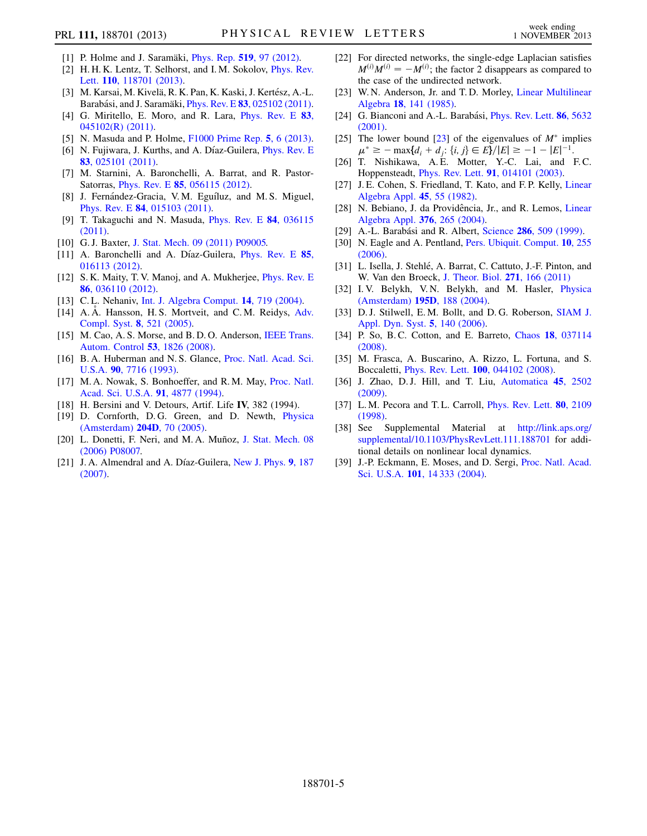- <span id="page-4-0"></span>[1] P. Holme and J. Saramäki, *Phys. Rep.* **519**[, 97 \(2012\)](http://dx.doi.org/10.1016/j.physrep.2012.03.001).
- <span id="page-4-1"></span>[2] H. H. K. Lentz, T. Selhorst, and I. M. Sokolov, *[Phys. Rev.](http://dx.doi.org/10.1103/PhysRevLett.110.118701)* Lett. 110[, 118701 \(2013\).](http://dx.doi.org/10.1103/PhysRevLett.110.118701)
- <span id="page-4-2"></span>[3] M. Karsai, M. Kivelä, R. K. Pan, K. Kaski, J. Kertész, A.-L. Barabási, and J. Saramäki, *Phys. Rev. E* 83[, 025102 \(2011\).](http://dx.doi.org/10.1103/PhysRevE.83.025102)
- <span id="page-4-31"></span>[4] G. Miritello, E. Moro, and R. Lara, [Phys. Rev. E](http://dx.doi.org/10.1103/PhysRevE.83.045102) 83, [045102\(R\) \(2011\)](http://dx.doi.org/10.1103/PhysRevE.83.045102).
- <span id="page-4-3"></span>[5] N. Masuda and P. Holme, [F1000 Prime Rep.](http://dx.doi.org/10.12703/P5-6) 5, 6 (2013).
- <span id="page-4-4"></span>[6] N. Fujiwara, J. Kurths, and A. Díaz-Guilera, *[Phys. Rev. E](http://dx.doi.org/10.1103/PhysRevE.83.025101)* 83[, 025101 \(2011\)](http://dx.doi.org/10.1103/PhysRevE.83.025101).
- <span id="page-4-5"></span>[7] M. Starnini, A. Baronchelli, A. Barrat, and R. Pastor-Satorras, Phys. Rev. E 85[, 056115 \(2012\)](http://dx.doi.org/10.1103/PhysRevE.85.056115).
- <span id="page-4-6"></span>[8] J. Fernández-Gracia, V.M. Eguíluz, and M.S. Miguel, Phys. Rev. E 84[, 015103 \(2011\).](http://dx.doi.org/10.1103/PhysRevE.84.015103)
- <span id="page-4-24"></span>[9] T. Takaguchi and N. Masuda, [Phys. Rev. E](http://dx.doi.org/10.1103/PhysRevE.84.036115) 84, 036115 [\(2011\)](http://dx.doi.org/10.1103/PhysRevE.84.036115).
- [10] G. J. Baxter, [J. Stat. Mech. 09 \(2011\) P09005.](http://dx.doi.org/10.1088/1742-5468/2011/09/P09005)
- <span id="page-4-25"></span>[11] A. Baronchelli and A. Díaz-Guilera, *[Phys. Rev. E](http://dx.doi.org/10.1103/PhysRevE.85.016113)* 85, [016113 \(2012\)](http://dx.doi.org/10.1103/PhysRevE.85.016113).
- <span id="page-4-7"></span>[12] S. K. Maity, T. V. Manoj, and A. Mukherjee, *[Phys. Rev. E](http://dx.doi.org/10.1103/PhysRevE.86.036110)* 86[, 036110 \(2012\)](http://dx.doi.org/10.1103/PhysRevE.86.036110).
- <span id="page-4-8"></span>[13] C. L. Nehaniv, [Int. J. Algebra Comput.](http://dx.doi.org/10.1142/S0218196704002043) **14**, 719 (2004).
- [14] A. Å. Hansson, H. S. Mortveit, and C. M. Reidys, [Adv.](http://dx.doi.org/10.1142/S0219525905000555) [Compl. Syst.](http://dx.doi.org/10.1142/S0219525905000555) 8, 521 (2005).
- <span id="page-4-9"></span>[15] M. Cao, A. S. Morse, and B. D. O. Anderson, [IEEE Trans.](http://dx.doi.org/10.1109/TAC.2008.929387) [Autom. Control](http://dx.doi.org/10.1109/TAC.2008.929387) 53, 1826 (2008).
- <span id="page-4-10"></span>[16] B. A. Huberman and N. S. Glance, [Proc. Natl. Acad. Sci.](http://dx.doi.org/10.1073/pnas.90.16.7716) U.S.A. 90[, 7716 \(1993\).](http://dx.doi.org/10.1073/pnas.90.16.7716)
- [17] M. A. Nowak, S. Bonhoeffer, and R. M. May, [Proc. Natl.](http://dx.doi.org/10.1073/pnas.91.11.4877) [Acad. Sci. U.S.A.](http://dx.doi.org/10.1073/pnas.91.11.4877) 91, 4877 (1994).
- [18] H. Bersini and V. Detours, Artif. Life IV, 382 (1994).
- <span id="page-4-11"></span>[19] D. Cornforth, D.G. Green, and D. Newth, *[Physica](http://dx.doi.org/10.1016/j.physd.2005.04.005)* [\(Amsterdam\)](http://dx.doi.org/10.1016/j.physd.2005.04.005) 204D, 70 (2005).
- <span id="page-4-12"></span>[20] L. Donetti, F. Neri, and M. A. Muñoz, [J. Stat. Mech. 08](http://dx.doi.org/10.1088/1742-5468/2006/08/P08007) [\(2006\) P08007.](http://dx.doi.org/10.1088/1742-5468/2006/08/P08007)
- <span id="page-4-13"></span>[21] J. A. Almendral and A. Díaz-Guilera, [New J. Phys.](http://dx.doi.org/10.1088/1367-2630/9/6/187) 9, 187 [\(2007\)](http://dx.doi.org/10.1088/1367-2630/9/6/187).
- <span id="page-4-14"></span>[22] For directed networks, the single-edge Laplacian satisfies  $M^{(i)}M^{(i)} = -M^{(i)}$ ; the factor 2 disappears as compared to the case of the undirected network the case of the undirected network.
- <span id="page-4-15"></span>[23] W. N. Anderson, Jr. and T. D. Morley, [Linear Multilinear](http://dx.doi.org/10.1080/03081088508817681) Algebra 18[, 141 \(1985\).](http://dx.doi.org/10.1080/03081088508817681)
- <span id="page-4-16"></span>[24] G. Bianconi and A.-L. Barabási, *[Phys. Rev. Lett.](http://dx.doi.org/10.1103/PhysRevLett.86.5632)* 86, 5632 [\(2001\)](http://dx.doi.org/10.1103/PhysRevLett.86.5632).
- <span id="page-4-17"></span>[25] The lower bound  $[23]$  $[23]$  of the eigenvalues of  $M^*$  implies  $\mu^* \ge -\max\{d_i + d_j: \{i, j\} \in E\}/|E| \ge -1 - |E|^{-1}$ .<br>T Nishikawa A E Motter Y-C Lai and
- <span id="page-4-18"></span>[26] T. Nishikawa, A.E. Motter, Y.-C. Lai, and F.C. Hoppensteadt, Phys. Rev. Lett. 91[, 014101 \(2003\)](http://dx.doi.org/10.1103/PhysRevLett.91.014101).
- <span id="page-4-19"></span>[27] J. E. Cohen, S. Friedland, T. Kato, and F. P. Kelly, [Linear](http://dx.doi.org/10.1016/0024-3795(82)90211-7) [Algebra Appl.](http://dx.doi.org/10.1016/0024-3795(82)90211-7) 45, 55 (1982).
- <span id="page-4-20"></span>[28] N. Bebiano, J. da Providência, Jr., and R. Lemos, [Linear](http://dx.doi.org/10.1016/j.laa.2003.07.004) [Algebra Appl.](http://dx.doi.org/10.1016/j.laa.2003.07.004) 376, 265 (2004).
- <span id="page-4-21"></span>[29] A.-L. Barabási and R. Albert, Science 286[, 509 \(1999\)](http://dx.doi.org/10.1126/science.286.5439.509).
- <span id="page-4-22"></span>[30] N. Eagle and A. Pentland, [Pers. Ubiquit. Comput.](http://dx.doi.org/10.1007/s00779-005-0046-3) **10**, 255 [\(2006\)](http://dx.doi.org/10.1007/s00779-005-0046-3).
- <span id="page-4-23"></span>[31] L. Isella, J. Stehlé, A. Barrat, C. Cattuto, J.-F. Pinton, and W. Van den Broeck, [J. Theor. Biol.](http://dx.doi.org/10.1016/j.jtbi.2010.11.033) 271, 166 (2011)
- <span id="page-4-26"></span>[32] I. V. Belykh, V. N. Belykh, and M. Hasler, *[Physica](http://dx.doi.org/10.1016/j.physd.2004.03.013)* [\(Amsterdam\)](http://dx.doi.org/10.1016/j.physd.2004.03.013) 195D, 188 (2004).
- [33] D. J. Stilwell, E. M. Bollt, and D. G. Roberson, [SIAM J.](http://dx.doi.org/10.1137/050625229) [Appl. Dyn. Syst.](http://dx.doi.org/10.1137/050625229) 5, 140 (2006).
- [34] P. So, B.C. Cotton, and E. Barreto, Chaos 18[, 037114](http://dx.doi.org/10.1063/1.2979693) [\(2008\)](http://dx.doi.org/10.1063/1.2979693).
- <span id="page-4-27"></span>[35] M. Frasca, A. Buscarino, A. Rizzo, L. Fortuna, and S. Boccaletti, Phys. Rev. Lett. 100[, 044102 \(2008\).](http://dx.doi.org/10.1103/PhysRevLett.100.044102)
- <span id="page-4-28"></span>[36] J. Zhao, D.J. Hill, and T. Liu, [Automatica](http://dx.doi.org/10.1016/j.automatica.2009.07.013) 45, 2502 [\(2009\)](http://dx.doi.org/10.1016/j.automatica.2009.07.013).
- <span id="page-4-29"></span>[37] L. M. Pecora and T. L. Carroll, *[Phys. Rev. Lett.](http://dx.doi.org/10.1103/PhysRevLett.80.2109)* **80**, 2109 [\(1998\)](http://dx.doi.org/10.1103/PhysRevLett.80.2109).
- <span id="page-4-30"></span>[38] See Supplemental Material at [http://link.aps.org/](http://link.aps.org/supplemental/10.1103/PhysRevLett.111.188701) [supplemental/10.1103/PhysRevLett.111.188701](http://link.aps.org/supplemental/10.1103/PhysRevLett.111.188701) for additional details on nonlinear local dynamics.
- <span id="page-4-32"></span>[39] J.-P. Eckmann, E. Moses, and D. Sergi, [Proc. Natl. Acad.](http://dx.doi.org/10.1073/pnas.0405728101) Sci. U.S.A. 101[, 14 333 \(2004\)](http://dx.doi.org/10.1073/pnas.0405728101).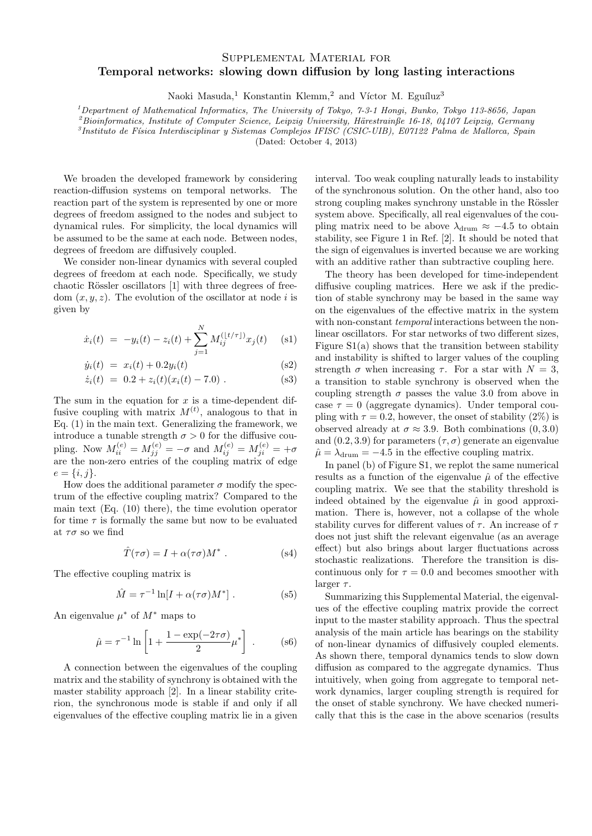## Supplemental Material for Temporal networks: slowing down diffusion by long lasting interactions

Naoki Masuda,<sup>1</sup> Konstantin Klemm,<sup>2</sup> and Víctor M. Eguíluz<sup>3</sup>

 $1$ Department of Mathematical Informatics, The University of Tokyo, 7-3-1 Hongi, Bunko, Tokyo 113-8656, Japan

 $^{2}Bioinformatics, Institute of Computer Science, Leipzig University, Härestrainße 16-18, 04107 Leipzig, Germany$ 

<sup>3</sup>Instituto de Física Interdisciplinar y Sistemas Complejos IFISC (CSIC-UIB), E07122 Palma de Mallorca, Spain

(Dated: October 4, 2013)

We broaden the developed framework by considering reaction-diffusion systems on temporal networks. The reaction part of the system is represented by one or more degrees of freedom assigned to the nodes and subject to dynamical rules. For simplicity, the local dynamics will be assumed to be the same at each node. Between nodes, degrees of freedom are diffusively coupled.

We consider non-linear dynamics with several coupled degrees of freedom at each node. Specifically, we study chaotic Rössler oscillators [1] with three degrees of freedom  $(x, y, z)$ . The evolution of the oscillator at node i is given by

$$
\dot{x}_i(t) = -y_i(t) - z_i(t) + \sum_{j=1}^{N} M_{ij}^{(\lfloor t/\tau \rfloor)} x_j(t) \quad (s1)
$$

$$
\dot{y}_i(t) = x_i(t) + 0.2y_i(t) \tag{s2}
$$

$$
\dot{z}_i(t) = 0.2 + z_i(t)(x_i(t) - 7.0) \tag{s3}
$$

The sum in the equation for  $x$  is a time-dependent diffusive coupling with matrix  $M^{(t)}$ , analogous to that in Eq. (1) in the main text. Generalizing the framework, we introduce a tunable strength  $\sigma > 0$  for the diffusive coupling. Now  $M_{ii}^{(e)} = M_{jj}^{(e)} = -\sigma$  and  $M_{ij}^{(e)} = M_{ji}^{(e)} = +\sigma$ are the non-zero entries of the coupling matrix of edge  $e = \{i, j\}.$ 

How does the additional parameter  $\sigma$  modify the spectrum of the effective coupling matrix? Compared to the main text (Eq. (10) there), the time evolution operator for time  $\tau$  is formally the same but now to be evaluated at  $\tau\sigma$  so we find

$$
\hat{T}(\tau\sigma) = I + \alpha(\tau\sigma)M^* \ . \tag{s4}
$$

The effective coupling matrix is

$$
\hat{M} = \tau^{-1} \ln[I + \alpha(\tau \sigma) M^*] . \tag{s5}
$$

An eigenvalue  $\mu^*$  of  $M^*$  maps to

$$
\hat{\mu} = \tau^{-1} \ln \left[ 1 + \frac{1 - \exp(-2\tau\sigma)}{2} \mu^* \right] . \tag{86}
$$

A connection between the eigenvalues of the coupling matrix and the stability of synchrony is obtained with the master stability approach [2]. In a linear stability criterion, the synchronous mode is stable if and only if all eigenvalues of the effective coupling matrix lie in a given

interval. Too weak coupling naturally leads to instability of the synchronous solution. On the other hand, also too strong coupling makes synchrony unstable in the Rössler system above. Specifically, all real eigenvalues of the coupling matrix need to be above  $\lambda_{\text{drum}} \approx -4.5$  to obtain stability, see Figure 1 in Ref. [2]. It should be noted that the sign of eigenvalues is inverted because we are working with an additive rather than subtractive coupling here.

The theory has been developed for time-independent diffusive coupling matrices. Here we ask if the prediction of stable synchrony may be based in the same way on the eigenvalues of the effective matrix in the system with non-constant *temporal* interactions between the nonlinear oscillators. For star networks of two different sizes, Figure  $S_1(a)$  shows that the transition between stability and instability is shifted to larger values of the coupling strength  $\sigma$  when increasing  $\tau$ . For a star with  $N = 3$ , a transition to stable synchrony is observed when the coupling strength  $\sigma$  passes the value 3.0 from above in case  $\tau = 0$  (aggregate dynamics). Under temporal coupling with  $\tau = 0.2$ , however, the onset of stability (2%) is observed already at  $\sigma \approx 3.9$ . Both combinations (0, 3.0) and  $(0.2, 3.9)$  for parameters  $(\tau, \sigma)$  generate an eigenvalue  $\hat{\mu} = \lambda_{\text{drum}} = -4.5$  in the effective coupling matrix.

In panel (b) of Figure S1, we replot the same numerical results as a function of the eigenvalue  $\hat{\mu}$  of the effective coupling matrix. We see that the stability threshold is indeed obtained by the eigenvalue  $\hat{\mu}$  in good approximation. There is, however, not a collapse of the whole stability curves for different values of  $\tau$ . An increase of  $\tau$ does not just shift the relevant eigenvalue (as an average effect) but also brings about larger fluctuations across stochastic realizations. Therefore the transition is discontinuous only for  $\tau = 0.0$  and becomes smoother with larger  $\tau$ .

Summarizing this Supplemental Material, the eigenvalues of the effective coupling matrix provide the correct input to the master stability approach. Thus the spectral analysis of the main article has bearings on the stability of non-linear dynamics of diffusively coupled elements. As shown there, temporal dynamics tends to slow down diffusion as compared to the aggregate dynamics. Thus intuitively, when going from aggregate to temporal network dynamics, larger coupling strength is required for the onset of stable synchrony. We have checked numerically that this is the case in the above scenarios (results